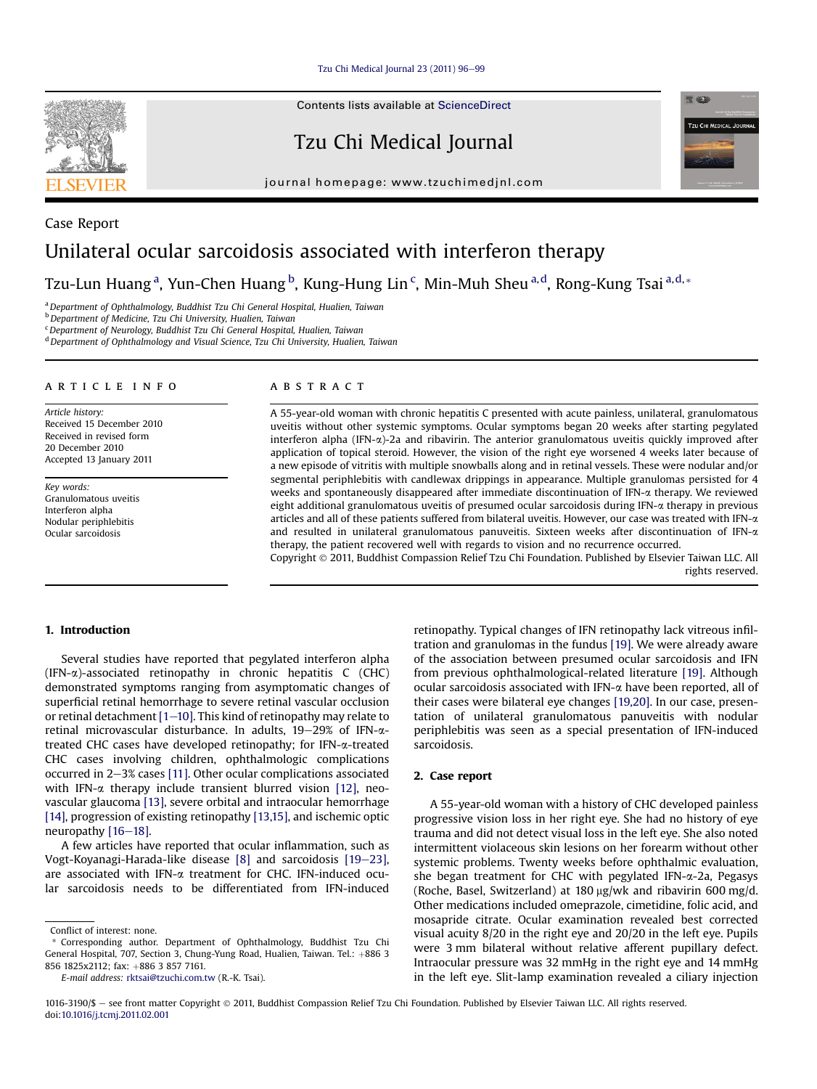[Tzu Chi Medical Journal 23 \(2011\) 96](http://dx.doi.org/10.1016/j.tcmj.2011.02.001)-[99](http://dx.doi.org/10.1016/j.tcmj.2011.02.001)

Contents lists available at [ScienceDirect](www.sciencedirect.com/science/journal/10163190)

Tzu Chi Medical Journal

journal homepage: [www.tzuchimedjnl.com](http://www.tzuchimedjnl.com)



Tzu-Lun Huang<sup>a</sup>, Yun-Chen Huang <sup>b</sup>, Kung-Hung Lin <sup>c</sup>, Min-Muh Sheu <sup>a, d</sup>, Rong-Kung Tsai <sup>a, d,</sup> \*

<sup>a</sup> Department of Ophthalmology, Buddhist Tzu Chi General Hospital, Hualien, Taiwan

**b** Department of Medicine, Tzu Chi University, Hualien, Taiwan

<sup>c</sup> Department of Neurology, Buddhist Tzu Chi General Hospital, Hualien, Taiwan

<sup>d</sup> Department of Ophthalmology and Visual Science, Tzu Chi University, Hualien, Taiwan

#### article info

Article history: Received 15 December 2010 Received in revised form 20 December 2010 Accepted 13 January 2011

Key words: Granulomatous uveitis Interferon alpha Nodular periphlebitis Ocular sarcoidosis

# **ABSTRACT**

A 55-year-old woman with chronic hepatitis C presented with acute painless, unilateral, granulomatous uveitis without other systemic symptoms. Ocular symptoms began 20 weeks after starting pegylated interferon alpha (IFN-a)-2a and ribavirin. The anterior granulomatous uveitis quickly improved after application of topical steroid. However, the vision of the right eye worsened 4 weeks later because of a new episode of vitritis with multiple snowballs along and in retinal vessels. These were nodular and/or segmental periphlebitis with candlewax drippings in appearance. Multiple granulomas persisted for 4 weeks and spontaneously disappeared after immediate discontinuation of IFN- $\alpha$  therapy. We reviewed eight additional granulomatous uveitis of presumed ocular sarcoidosis during IFN- $\alpha$  therapy in previous articles and all of these patients suffered from bilateral uveitis. However, our case was treated with IFN- $\alpha$ and resulted in unilateral granulomatous panuveitis. Sixteen weeks after discontinuation of IFN- $\alpha$ therapy, the patient recovered well with regards to vision and no recurrence occurred. Copyright 2011, Buddhist Compassion Relief Tzu Chi Foundation. Published by Elsevier Taiwan LLC. All

rights reserved.

**REAL** 

**TZU CHI MEDICAL JOUR** 

# 1. Introduction

Several studies have reported that pegylated interferon alpha  $(IFN-\alpha)$ -associated retinopathy in chronic hepatitis C (CHC) demonstrated symptoms ranging from asymptomatic changes of superficial retinal hemorrhage to severe retinal vascular occlusion or retinal detachment  $[1-10]$  $[1-10]$ . This kind of retinopathy may relate to retinal microvascular disturbance. In adults,  $19-29\%$  of IFN- $\alpha$ treated CHC cases have developed retinopathy; for IFN-a-treated CHC cases involving children, ophthalmologic complications occurred in  $2-3\%$  cases [\[11\]](#page-3-0). Other ocular complications associated with IFN- $\alpha$  therapy include transient blurred vision [\[12\],](#page-3-0) neovascular glaucoma [\[13\],](#page-3-0) severe orbital and intraocular hemorrhage [\[14\],](#page-3-0) progression of existing retinopathy [\[13,15\],](#page-3-0) and ischemic optic neuropathy [\[16](#page-3-0)-[18\].](#page-3-0)

A few articles have reported that ocular inflammation, such as Vogt-Koyanagi-Harada-like disease  $[8]$  and sarcoidosis  $[19-23]$  $[19-23]$ , are associated with IFN-a treatment for CHC. IFN-induced ocular sarcoidosis needs to be differentiated from IFN-induced

E-mail address: [rktsai@tzuchi.com.tw](mailto:rktsai@tzuchi.com.tw) (R.-K. Tsai).

retinopathy. Typical changes of IFN retinopathy lack vitreous infiltration and granulomas in the fundus [\[19\]](#page-3-0). We were already aware of the association between presumed ocular sarcoidosis and IFN from previous ophthalmological-related literature [\[19\].](#page-3-0) Although ocular sarcoidosis associated with IFN-a have been reported, all of their cases were bilateral eye changes [\[19,20\].](#page-3-0) In our case, presentation of unilateral granulomatous panuveitis with nodular periphlebitis was seen as a special presentation of IFN-induced sarcoidosis.

# 2. Case report

A 55-year-old woman with a history of CHC developed painless progressive vision loss in her right eye. She had no history of eye trauma and did not detect visual loss in the left eye. She also noted intermittent violaceous skin lesions on her forearm without other systemic problems. Twenty weeks before ophthalmic evaluation, she began treatment for CHC with pegylated IFN-a-2a, Pegasys (Roche, Basel, Switzerland) at  $180 \mu g/wk$  and ribavirin 600 mg/d. Other medications included omeprazole, cimetidine, folic acid, and mosapride citrate. Ocular examination revealed best corrected visual acuity 8/20 in the right eye and 20/20 in the left eye. Pupils were 3 mm bilateral without relative afferent pupillary defect. Intraocular pressure was 32 mmHg in the right eye and 14 mmHg in the left eye. Slit-lamp examination revealed a ciliary injection



Conflict of interest: none.

<sup>\*</sup> Corresponding author. Department of Ophthalmology, Buddhist Tzu Chi General Hospital, 707, Section 3, Chung-Yung Road, Hualien, Taiwan. Tel.: +886 3 856 1825x2112; fax: +886 3 857 7161.

<sup>1016-3190/\$ -</sup> see front matter Copyright © 2011, Buddhist Compassion Relief Tzu Chi Foundation. Published by Elsevier Taiwan LLC. All rights reserved. doi:[10.1016/j.tcmj.2011.02.001](http://dx.doi.org/10.1016/j.tcmj.2011.02.001)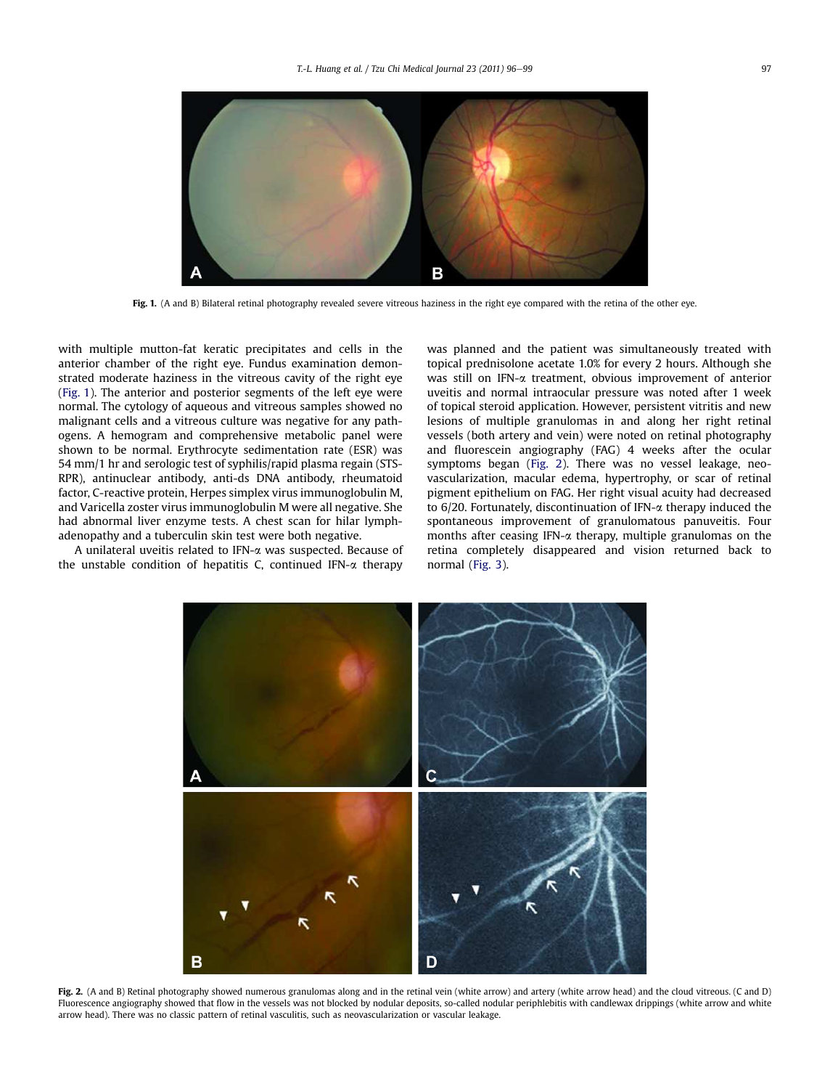

Fig. 1. (A and B) Bilateral retinal photography revealed severe vitreous haziness in the right eye compared with the retina of the other eye.

with multiple mutton-fat keratic precipitates and cells in the anterior chamber of the right eye. Fundus examination demonstrated moderate haziness in the vitreous cavity of the right eye (Fig. 1). The anterior and posterior segments of the left eye were normal. The cytology of aqueous and vitreous samples showed no malignant cells and a vitreous culture was negative for any pathogens. A hemogram and comprehensive metabolic panel were shown to be normal. Erythrocyte sedimentation rate (ESR) was 54 mm/1 hr and serologic test of syphilis/rapid plasma regain (STS-RPR), antinuclear antibody, anti-ds DNA antibody, rheumatoid factor, C-reactive protein, Herpes simplex virus immunoglobulin M, and Varicella zoster virus immunoglobulin M were all negative. She had abnormal liver enzyme tests. A chest scan for hilar lymphadenopathy and a tuberculin skin test were both negative.

A unilateral uveitis related to IFN-a was suspected. Because of the unstable condition of hepatitis C, continued IFN- $\alpha$  therapy

was planned and the patient was simultaneously treated with topical prednisolone acetate 1.0% for every 2 hours. Although she was still on IFN-a treatment, obvious improvement of anterior uveitis and normal intraocular pressure was noted after 1 week of topical steroid application. However, persistent vitritis and new lesions of multiple granulomas in and along her right retinal vessels (both artery and vein) were noted on retinal photography and fluorescein angiography (FAG) 4 weeks after the ocular symptoms began (Fig. 2). There was no vessel leakage, neovascularization, macular edema, hypertrophy, or scar of retinal pigment epithelium on FAG. Her right visual acuity had decreased to 6/20. Fortunately, discontinuation of IFN-a therapy induced the spontaneous improvement of granulomatous panuveitis. Four months after ceasing IFN- $\alpha$  therapy, multiple granulomas on the retina completely disappeared and vision returned back to normal [\(Fig. 3](#page-2-0)).



Fig. 2. (A and B) Retinal photography showed numerous granulomas along and in the retinal vein (white arrow) and artery (white arrow head) and the cloud vitreous. (C and D) Fluorescence angiography showed that flow in the vessels was not blocked by nodular deposits, so-called nodular periphlebitis with candlewax drippings (white arrow and white arrow head). There was no classic pattern of retinal vasculitis, such as neovascularization or vascular leakage.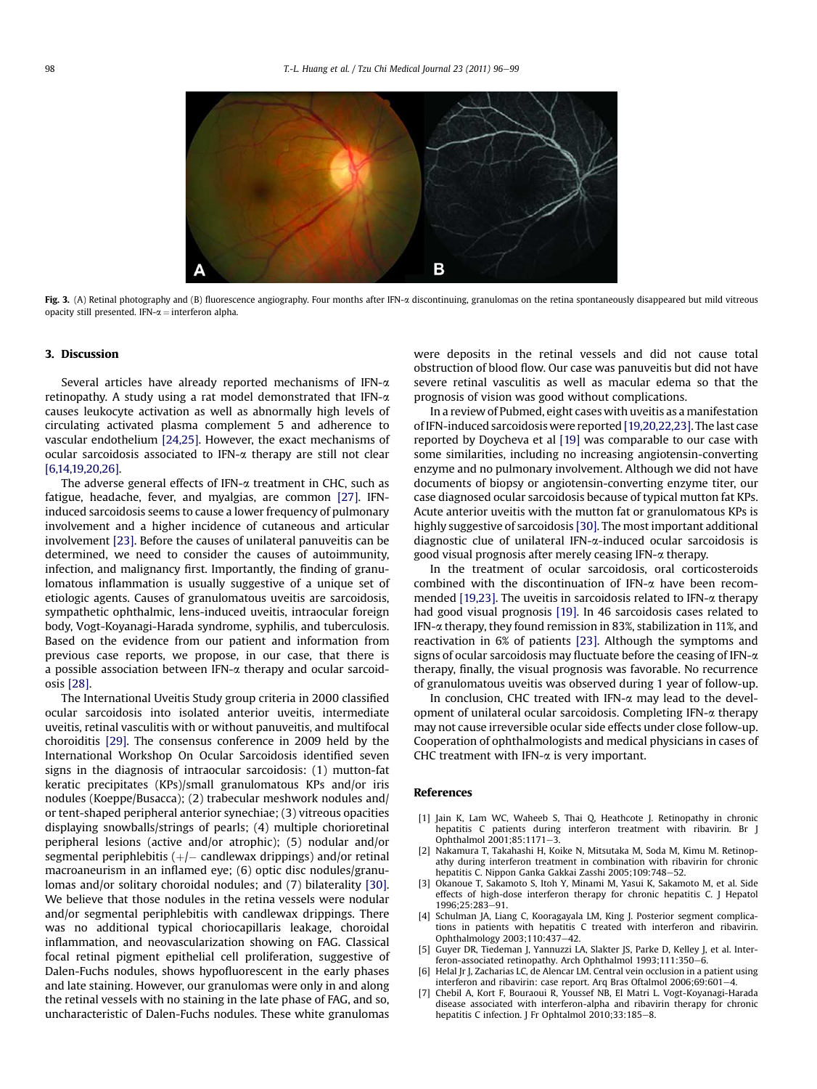<span id="page-2-0"></span>

Fig. 3. (A) Retinal photography and (B) fluorescence angiography. Four months after IFN-a discontinuing, granulomas on the retina spontaneously disappeared but mild vitreous opacity still presented. IFN- $\alpha$  = interferon alpha.

### 3. Discussion

Several articles have already reported mechanisms of IFN-a retinopathy. A study using a rat model demonstrated that IFN- $\alpha$ causes leukocyte activation as well as abnormally high levels of circulating activated plasma complement 5 and adherence to vascular endothelium [\[24,25\].](#page-3-0) However, the exact mechanisms of ocular sarcoidosis associated to IFN-a therapy are still not clear [6,14,19,20,26].

The adverse general effects of IFN- $\alpha$  treatment in CHC, such as fatigue, headache, fever, and myalgias, are common [\[27\]](#page-3-0). IFNinduced sarcoidosis seems to cause a lower frequency of pulmonary involvement and a higher incidence of cutaneous and articular involvement [\[23\].](#page-3-0) Before the causes of unilateral panuveitis can be determined, we need to consider the causes of autoimmunity, infection, and malignancy first. Importantly, the finding of granulomatous inflammation is usually suggestive of a unique set of etiologic agents. Causes of granulomatous uveitis are sarcoidosis, sympathetic ophthalmic, lens-induced uveitis, intraocular foreign body, Vogt-Koyanagi-Harada syndrome, syphilis, and tuberculosis. Based on the evidence from our patient and information from previous case reports, we propose, in our case, that there is a possible association between IFN- $\alpha$  therapy and ocular sarcoidosis [\[28\].](#page-3-0)

The International Uveitis Study group criteria in 2000 classified ocular sarcoidosis into isolated anterior uveitis, intermediate uveitis, retinal vasculitis with or without panuveitis, and multifocal choroiditis [\[29\]](#page-3-0). The consensus conference in 2009 held by the International Workshop On Ocular Sarcoidosis identified seven signs in the diagnosis of intraocular sarcoidosis: (1) mutton-fat keratic precipitates (KPs)/small granulomatous KPs and/or iris nodules (Koeppe/Busacca); (2) trabecular meshwork nodules and/ or tent-shaped peripheral anterior synechiae; (3) vitreous opacities displaying snowballs/strings of pearls; (4) multiple chorioretinal peripheral lesions (active and/or atrophic); (5) nodular and/or segmental periphlebitis (+/ $-$  candlewax drippings) and/or retinal macroaneurism in an inflamed eye; (6) optic disc nodules/granulomas and/or solitary choroidal nodules; and (7) bilaterality [\[30\]](#page-3-0). We believe that those nodules in the retina vessels were nodular and/or segmental periphlebitis with candlewax drippings. There was no additional typical choriocapillaris leakage, choroidal inflammation, and neovascularization showing on FAG. Classical focal retinal pigment epithelial cell proliferation, suggestive of Dalen-Fuchs nodules, shows hypofluorescent in the early phases and late staining. However, our granulomas were only in and along the retinal vessels with no staining in the late phase of FAG, and so, uncharacteristic of Dalen-Fuchs nodules. These white granulomas were deposits in the retinal vessels and did not cause total obstruction of blood flow. Our case was panuveitis but did not have severe retinal vasculitis as well as macular edema so that the prognosis of vision was good without complications.

In a review of Pubmed, eight cases with uveitis as a manifestation of IFN-induced sarcoidosis were reported [\[19,20,22,23\].](#page-3-0) The last case reported by Doycheva et al [\[19\]](#page-3-0) was comparable to our case with some similarities, including no increasing angiotensin-converting enzyme and no pulmonary involvement. Although we did not have documents of biopsy or angiotensin-converting enzyme titer, our case diagnosed ocular sarcoidosis because of typical mutton fat KPs. Acute anterior uveitis with the mutton fat or granulomatous KPs is highly suggestive of sarcoidosis [\[30\]](#page-3-0). The most important additional diagnostic clue of unilateral IFN-a-induced ocular sarcoidosis is good visual prognosis after merely ceasing IFN-a therapy.

In the treatment of ocular sarcoidosis, oral corticosteroids combined with the discontinuation of IFN- $\alpha$  have been recom-mended [\[19,23\]](#page-3-0). The uveitis in sarcoidosis related to IFN- $\alpha$  therapy had good visual prognosis [\[19\]](#page-3-0). In 46 sarcoidosis cases related to IFN-a therapy, they found remission in 83%, stabilization in 11%, and reactivation in 6% of patients [\[23\]](#page-3-0). Although the symptoms and signs of ocular sarcoidosis may fluctuate before the ceasing of IFN- $\alpha$ therapy, finally, the visual prognosis was favorable. No recurrence of granulomatous uveitis was observed during 1 year of follow-up.

In conclusion, CHC treated with IFN- $\alpha$  may lead to the development of unilateral ocular sarcoidosis. Completing IFN-a therapy may not cause irreversible ocular side effects under close follow-up. Cooperation of ophthalmologists and medical physicians in cases of CHC treatment with IFN- $\alpha$  is very important.

### References

- [1] Jain K, Lam WC, Waheeb S, Thai Q, Heathcote J. Retinopathy in chronic hepatitis C patients during interferon treatment with ribavirin. Br J Ophthalmol 2001:85:1171-3.
- Nakamura T, Takahashi H, Koike N, Mitsutaka M, Soda M, Kimu M. Retinopathy during interferon treatment in combination with ribavirin for chronic hepatitis C. Nippon Ganka Gakkai Zasshi 2005;109:748-52.
- [3] Okanoue T, Sakamoto S, Itoh Y, Minami M, Yasui K, Sakamoto M, et al. Side effects of high-dose interferon therapy for chronic hepatitis C. J Hepatol  $1996:25:283 - 91$
- [4] Schulman JA, Liang C, Kooragayala LM, King J. Posterior segment complications in patients with hepatitis C treated with interferon and ribavirin. Ophthalmology 2003;110:437-42.
- Guyer DR, Tiedeman J, Yannuzzi LA, Slakter JS, Parke D, Kelley J, et al. Interferon-associated retinopathy. Arch Ophthalmol 1993;111:350-6.
- [6] Helal Jr J, Zacharias LC, de Alencar LM. Central vein occlusion in a patient using interferon and ribavirin: case report. Arq Bras Oftalmol 2006;69:601-4.
- [7] Chebil A, Kort F, Bouraoui R, Youssef NB, El Matri L. Vogt-Koyanagi-Harada disease associated with interferon-alpha and ribavirin therapy for chronic hepatitis C infection. J Fr Ophtalmol 2010;33:185-8.